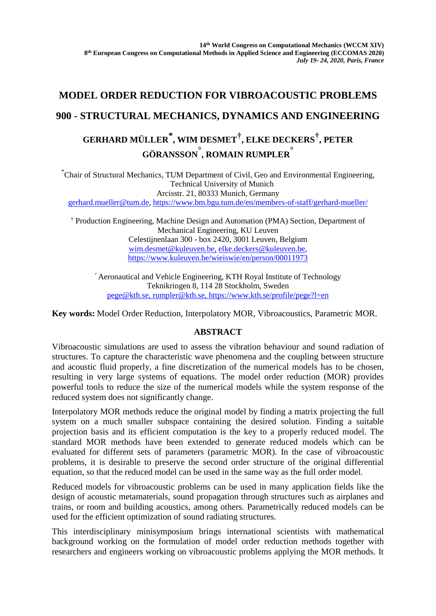## **MODEL ORDER REDUCTION FOR VIBROACOUSTIC PROBLEMS 900 - STRUCTURAL MECHANICS, DYNAMICS AND ENGINEERING GERHARD MÜLLER\* , WIM DESMET† , ELKE DECKERS† , PETER GÖRANSSON° , ROMAIN RUMPLER°**

\*Chair of Structural Mechanics, TUM Department of Civil, Geo and Environmental Engineering, Technical University of Munich Arcisstr. 21, 80333 Munich, Germany [gerhard.mueller@tum.de,](mailto:gerhard.mueller@tum.de)<https://www.bm.bgu.tum.de/en/members-of-staff/gerhard-mueller/>

† Production Engineering, Machine Design and Automation (PMA) Section, Department of Mechanical Engineering, KU Leuven Celestijnenlaan 300 - box 2420, 3001 Leuven, Belgium [wim.desmet@kuleuven.be,](mailto:wim.desmet@kuleuven.be) elke.deckers@kuleuven.be, <https://www.kuleuven.be/wieiswie/en/person/00011973>

° Aeronautical and Vehicle Engineering, KTH Royal Institute of Technology Teknikringen 8, 114 28 Stockholm, Sweden [pege@kth.se,](mailto:pege@kth.se) [rumpler@kth.se,](mailto:rumpler@kth.se) https://www.kth.se/profile/pege?l=en

**Key words:** Model Order Reduction, Interpolatory MOR, Vibroacoustics, Parametric MOR.

## **ABSTRACT**

Vibroacoustic simulations are used to assess the vibration behaviour and sound radiation of structures. To capture the characteristic wave phenomena and the coupling between structure and acoustic fluid properly, a fine discretization of the numerical models has to be chosen, resulting in very large systems of equations. The model order reduction (MOR) provides powerful tools to reduce the size of the numerical models while the system response of the reduced system does not significantly change.

Interpolatory MOR methods reduce the original model by finding a matrix projecting the full system on a much smaller subspace containing the desired solution. Finding a suitable projection basis and its efficient computation is the key to a properly reduced model. The standard MOR methods have been extended to generate reduced models which can be evaluated for different sets of parameters (parametric MOR). In the case of vibroacoustic problems, it is desirable to preserve the second order structure of the original differential equation, so that the reduced model can be used in the same way as the full order model.

Reduced models for vibroacoustic problems can be used in many application fields like the design of acoustic metamaterials, sound propagation through structures such as airplanes and trains, or room and building acoustics, among others. Parametrically reduced models can be used for the efficient optimization of sound radiating structures.

This interdisciplinary minisymposium brings international scientists with mathematical background working on the formulation of model order reduction methods together with researchers and engineers working on vibroacoustic problems applying the MOR methods. It